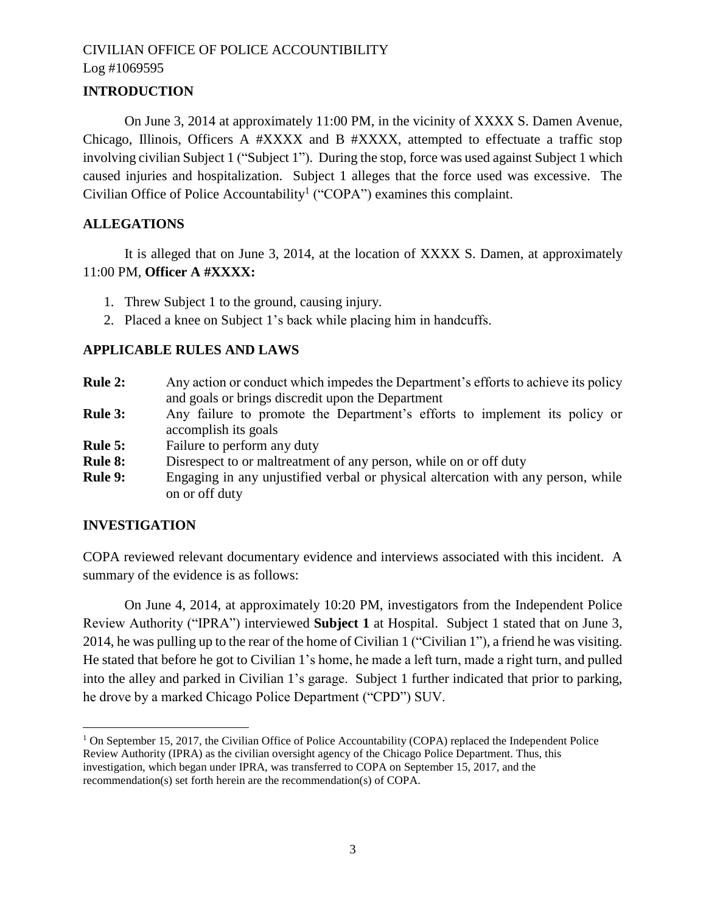# **INTRODUCTION**

On June 3, 2014 at approximately 11:00 PM, in the vicinity of XXXX S. Damen Avenue, Chicago, Illinois, Officers A #XXXX and B #XXXX, attempted to effectuate a traffic stop involving civilian Subject 1 ("Subject 1"). During the stop, force was used against Subject 1 which caused injuries and hospitalization. Subject 1 alleges that the force used was excessive. The Civilian Office of Police Accountability<sup>1</sup> ("COPA") examines this complaint.

# **ALLEGATIONS**

It is alleged that on June 3, 2014, at the location of XXXX S. Damen, at approximately 11:00 PM, **Officer A #XXXX:**

- 1. Threw Subject 1 to the ground, causing injury.
- 2. Placed a knee on Subject 1's back while placing him in handcuffs.

#### **APPLICABLE RULES AND LAWS**

- **Rule 2:** Any action or conduct which impedes the Department's efforts to achieve its policy and goals or brings discredit upon the Department
- **Rule 3:** Any failure to promote the Department's efforts to implement its policy or accomplish its goals
- **Rule 5:** Failure to perform any duty
- **Rule 8:** Disrespect to or maltreatment of any person, while on or off duty
- **Rule 9:** Engaging in any unjustified verbal or physical altercation with any person, while on or off duty

#### **INVESTIGATION**

 $\overline{\phantom{a}}$ 

COPA reviewed relevant documentary evidence and interviews associated with this incident. A summary of the evidence is as follows:

On June 4, 2014, at approximately 10:20 PM, investigators from the Independent Police Review Authority ("IPRA") interviewed **Subject 1** at Hospital. Subject 1 stated that on June 3, 2014, he was pulling up to the rear of the home of Civilian 1 ("Civilian 1"), a friend he was visiting. He stated that before he got to Civilian 1's home, he made a left turn, made a right turn, and pulled into the alley and parked in Civilian 1's garage. Subject 1 further indicated that prior to parking, he drove by a marked Chicago Police Department ("CPD") SUV.

<sup>&</sup>lt;sup>1</sup> On September 15, 2017, the Civilian Office of Police Accountability (COPA) replaced the Independent Police Review Authority (IPRA) as the civilian oversight agency of the Chicago Police Department. Thus, this investigation, which began under IPRA, was transferred to COPA on September 15, 2017, and the recommendation(s) set forth herein are the recommendation(s) of COPA.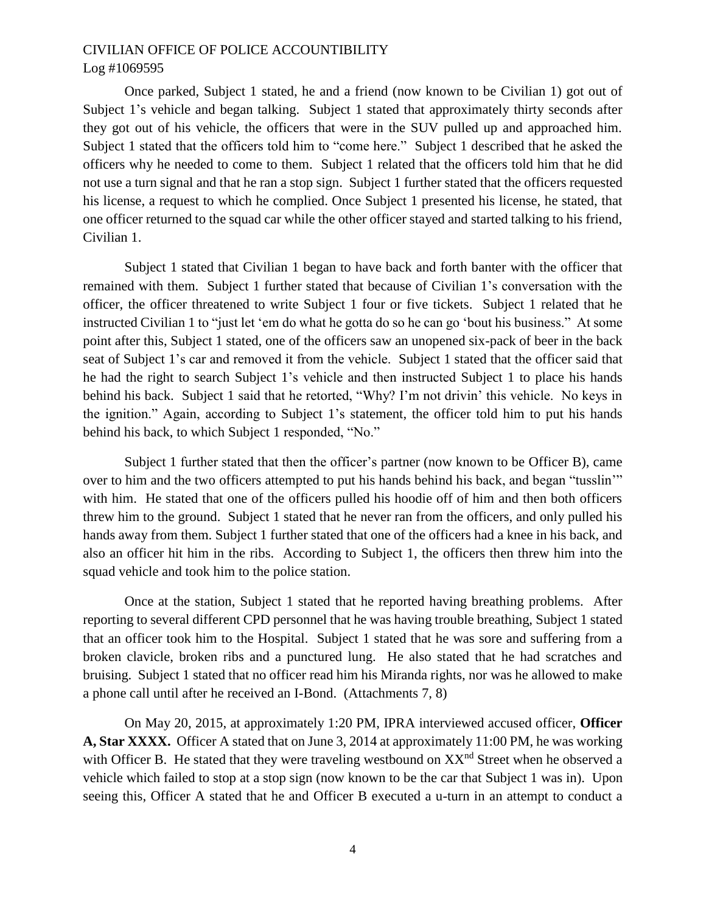Once parked, Subject 1 stated, he and a friend (now known to be Civilian 1) got out of Subject 1's vehicle and began talking. Subject 1 stated that approximately thirty seconds after they got out of his vehicle, the officers that were in the SUV pulled up and approached him. Subject 1 stated that the officers told him to "come here." Subject 1 described that he asked the officers why he needed to come to them. Subject 1 related that the officers told him that he did not use a turn signal and that he ran a stop sign. Subject 1 further stated that the officers requested his license, a request to which he complied. Once Subject 1 presented his license, he stated, that one officer returned to the squad car while the other officer stayed and started talking to his friend, Civilian 1.

Subject 1 stated that Civilian 1 began to have back and forth banter with the officer that remained with them. Subject 1 further stated that because of Civilian 1's conversation with the officer, the officer threatened to write Subject 1 four or five tickets. Subject 1 related that he instructed Civilian 1 to "just let 'em do what he gotta do so he can go 'bout his business." At some point after this, Subject 1 stated, one of the officers saw an unopened six-pack of beer in the back seat of Subject 1's car and removed it from the vehicle. Subject 1 stated that the officer said that he had the right to search Subject 1's vehicle and then instructed Subject 1 to place his hands behind his back. Subject 1 said that he retorted, "Why? I'm not drivin' this vehicle. No keys in the ignition." Again, according to Subject 1's statement, the officer told him to put his hands behind his back, to which Subject 1 responded, "No."

Subject 1 further stated that then the officer's partner (now known to be Officer B), came over to him and the two officers attempted to put his hands behind his back, and began "tusslin'" with him. He stated that one of the officers pulled his hoodie off of him and then both officers threw him to the ground. Subject 1 stated that he never ran from the officers, and only pulled his hands away from them. Subject 1 further stated that one of the officers had a knee in his back, and also an officer hit him in the ribs. According to Subject 1, the officers then threw him into the squad vehicle and took him to the police station.

Once at the station, Subject 1 stated that he reported having breathing problems. After reporting to several different CPD personnel that he was having trouble breathing, Subject 1 stated that an officer took him to the Hospital. Subject 1 stated that he was sore and suffering from a broken clavicle, broken ribs and a punctured lung. He also stated that he had scratches and bruising. Subject 1 stated that no officer read him his Miranda rights, nor was he allowed to make a phone call until after he received an I-Bond. (Attachments 7, 8)

On May 20, 2015, at approximately 1:20 PM, IPRA interviewed accused officer, **Officer A, Star XXXX.** Officer A stated that on June 3, 2014 at approximately 11:00 PM, he was working with Officer B. He stated that they were traveling westbound on  $XX<sup>nd</sup>$  Street when he observed a vehicle which failed to stop at a stop sign (now known to be the car that Subject 1 was in). Upon seeing this, Officer A stated that he and Officer B executed a u-turn in an attempt to conduct a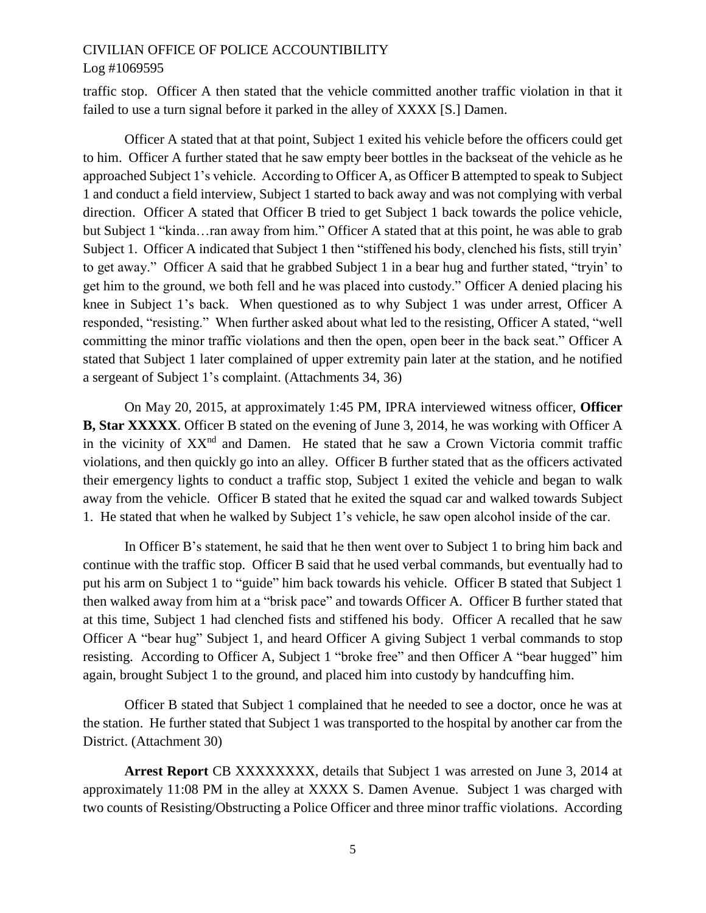#### Log #1069595

traffic stop. Officer A then stated that the vehicle committed another traffic violation in that it failed to use a turn signal before it parked in the alley of XXXX [S.] Damen.

Officer A stated that at that point, Subject 1 exited his vehicle before the officers could get to him. Officer A further stated that he saw empty beer bottles in the backseat of the vehicle as he approached Subject 1's vehicle. According to Officer A, as Officer B attempted to speak to Subject 1 and conduct a field interview, Subject 1 started to back away and was not complying with verbal direction. Officer A stated that Officer B tried to get Subject 1 back towards the police vehicle, but Subject 1 "kinda…ran away from him." Officer A stated that at this point, he was able to grab Subject 1. Officer A indicated that Subject 1 then "stiffened his body, clenched his fists, still tryin' to get away." Officer A said that he grabbed Subject 1 in a bear hug and further stated, "tryin' to get him to the ground, we both fell and he was placed into custody." Officer A denied placing his knee in Subject 1's back. When questioned as to why Subject 1 was under arrest, Officer A responded, "resisting." When further asked about what led to the resisting, Officer A stated, "well committing the minor traffic violations and then the open, open beer in the back seat." Officer A stated that Subject 1 later complained of upper extremity pain later at the station, and he notified a sergeant of Subject 1's complaint. (Attachments 34, 36)

On May 20, 2015, at approximately 1:45 PM, IPRA interviewed witness officer, **Officer B, Star XXXXX**. Officer B stated on the evening of June 3, 2014, he was working with Officer A in the vicinity of XX<sup>nd</sup> and Damen. He stated that he saw a Crown Victoria commit traffic violations, and then quickly go into an alley. Officer B further stated that as the officers activated their emergency lights to conduct a traffic stop, Subject 1 exited the vehicle and began to walk away from the vehicle. Officer B stated that he exited the squad car and walked towards Subject 1. He stated that when he walked by Subject 1's vehicle, he saw open alcohol inside of the car.

In Officer B's statement, he said that he then went over to Subject 1 to bring him back and continue with the traffic stop. Officer B said that he used verbal commands, but eventually had to put his arm on Subject 1 to "guide" him back towards his vehicle. Officer B stated that Subject 1 then walked away from him at a "brisk pace" and towards Officer A. Officer B further stated that at this time, Subject 1 had clenched fists and stiffened his body. Officer A recalled that he saw Officer A "bear hug" Subject 1, and heard Officer A giving Subject 1 verbal commands to stop resisting. According to Officer A, Subject 1 "broke free" and then Officer A "bear hugged" him again, brought Subject 1 to the ground, and placed him into custody by handcuffing him.

Officer B stated that Subject 1 complained that he needed to see a doctor, once he was at the station. He further stated that Subject 1 was transported to the hospital by another car from the District. (Attachment 30)

**Arrest Report** CB XXXXXXXX, details that Subject 1 was arrested on June 3, 2014 at approximately 11:08 PM in the alley at XXXX S. Damen Avenue. Subject 1 was charged with two counts of Resisting/Obstructing a Police Officer and three minor traffic violations. According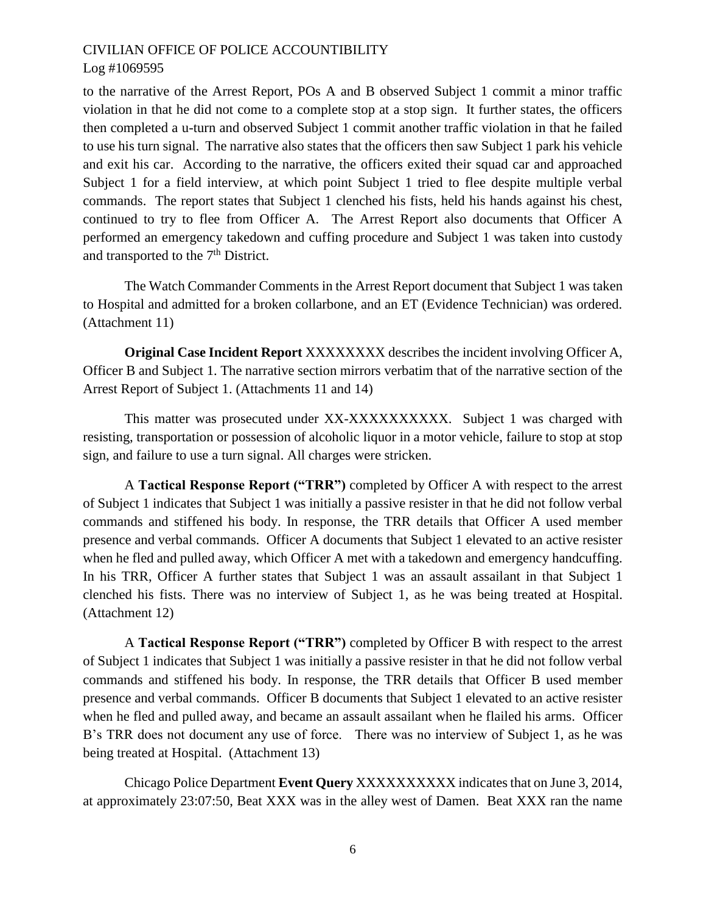to the narrative of the Arrest Report, POs A and B observed Subject 1 commit a minor traffic violation in that he did not come to a complete stop at a stop sign. It further states, the officers then completed a u-turn and observed Subject 1 commit another traffic violation in that he failed to use his turn signal. The narrative also states that the officers then saw Subject 1 park his vehicle and exit his car. According to the narrative, the officers exited their squad car and approached Subject 1 for a field interview, at which point Subject 1 tried to flee despite multiple verbal commands. The report states that Subject 1 clenched his fists, held his hands against his chest, continued to try to flee from Officer A. The Arrest Report also documents that Officer A performed an emergency takedown and cuffing procedure and Subject 1 was taken into custody and transported to the  $7<sup>th</sup>$  District.

The Watch Commander Comments in the Arrest Report document that Subject 1 was taken to Hospital and admitted for a broken collarbone, and an ET (Evidence Technician) was ordered. (Attachment 11)

**Original Case Incident Report** XXXXXXXX describes the incident involving Officer A, Officer B and Subject 1. The narrative section mirrors verbatim that of the narrative section of the Arrest Report of Subject 1. (Attachments 11 and 14)

This matter was prosecuted under XX-XXXXXXXXXX. Subject 1 was charged with resisting, transportation or possession of alcoholic liquor in a motor vehicle, failure to stop at stop sign, and failure to use a turn signal. All charges were stricken.

A **Tactical Response Report ("TRR")** completed by Officer A with respect to the arrest of Subject 1 indicates that Subject 1 was initially a passive resister in that he did not follow verbal commands and stiffened his body. In response, the TRR details that Officer A used member presence and verbal commands. Officer A documents that Subject 1 elevated to an active resister when he fled and pulled away, which Officer A met with a takedown and emergency handcuffing. In his TRR, Officer A further states that Subject 1 was an assault assailant in that Subject 1 clenched his fists. There was no interview of Subject 1, as he was being treated at Hospital. (Attachment 12)

A **Tactical Response Report ("TRR")** completed by Officer B with respect to the arrest of Subject 1 indicates that Subject 1 was initially a passive resister in that he did not follow verbal commands and stiffened his body. In response, the TRR details that Officer B used member presence and verbal commands. Officer B documents that Subject 1 elevated to an active resister when he fled and pulled away, and became an assault assailant when he flailed his arms. Officer B's TRR does not document any use of force. There was no interview of Subject 1, as he was being treated at Hospital. (Attachment 13)

Chicago Police Department **Event Query** XXXXXXXXXX indicates that on June 3, 2014, at approximately 23:07:50, Beat XXX was in the alley west of Damen. Beat XXX ran the name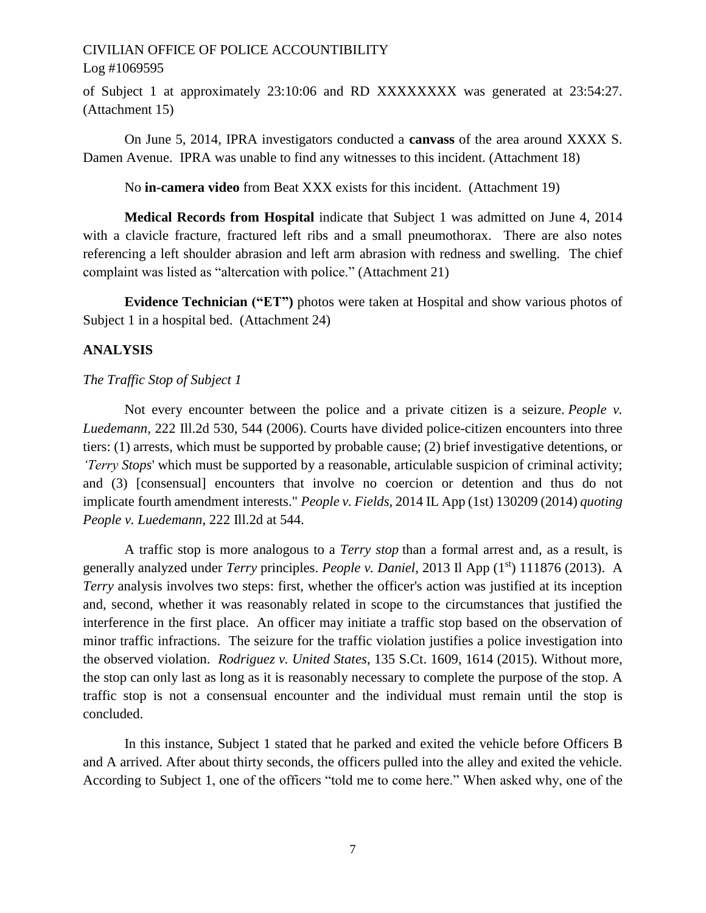of Subject 1 at approximately 23:10:06 and RD XXXXXXXX was generated at 23:54:27. (Attachment 15)

On June 5, 2014, IPRA investigators conducted a **canvass** of the area around XXXX S. Damen Avenue. IPRA was unable to find any witnesses to this incident. (Attachment 18)

No **in-camera video** from Beat XXX exists for this incident. (Attachment 19)

**Medical Records from Hospital** indicate that Subject 1 was admitted on June 4, 2014 with a clavicle fracture, fractured left ribs and a small pneumothorax. There are also notes referencing a left shoulder abrasion and left arm abrasion with redness and swelling. The chief complaint was listed as "altercation with police." (Attachment 21)

**Evidence Technician ("ET")** photos were taken at Hospital and show various photos of Subject 1 in a hospital bed. (Attachment 24)

### **ANALYSIS**

#### *The Traffic Stop of Subject 1*

Not every encounter between the police and a private citizen is a seizure. *People v. Luedemann*, 222 Ill.2d 530, 544 (2006). Courts have divided police-citizen encounters into three tiers: (1) arrests, which must be supported by probable cause; (2) brief investigative detentions, or *'Terry Stops*' which must be supported by a reasonable, articulable suspicion of criminal activity; and (3) [consensual] encounters that involve no coercion or detention and thus do not implicate fourth amendment interests." *People v. Fields*, 2014 IL App (1st) 130209 (2014) *quoting People v. Luedemann*, 222 Ill.2d at 544.

A traffic stop is more analogous to a *Terry stop* than a formal arrest and, as a result, is generally analyzed under *Terry* principles. *People v. Daniel*, 2013 Il App (1st) 111876 (2013). A *Terry* analysis involves two steps: first, whether the officer's action was justified at its inception and, second, whether it was reasonably related in scope to the circumstances that justified the interference in the first place. An officer may initiate a traffic stop based on the observation of minor traffic infractions. The seizure for the traffic violation justifies a police investigation into the observed violation. *Rodriguez v. United States*, 135 S.Ct. 1609, 1614 (2015). Without more, the stop can only last as long as it is reasonably necessary to complete the purpose of the stop. A traffic stop is not a consensual encounter and the individual must remain until the stop is concluded.

In this instance, Subject 1 stated that he parked and exited the vehicle before Officers B and A arrived. After about thirty seconds, the officers pulled into the alley and exited the vehicle. According to Subject 1, one of the officers "told me to come here." When asked why, one of the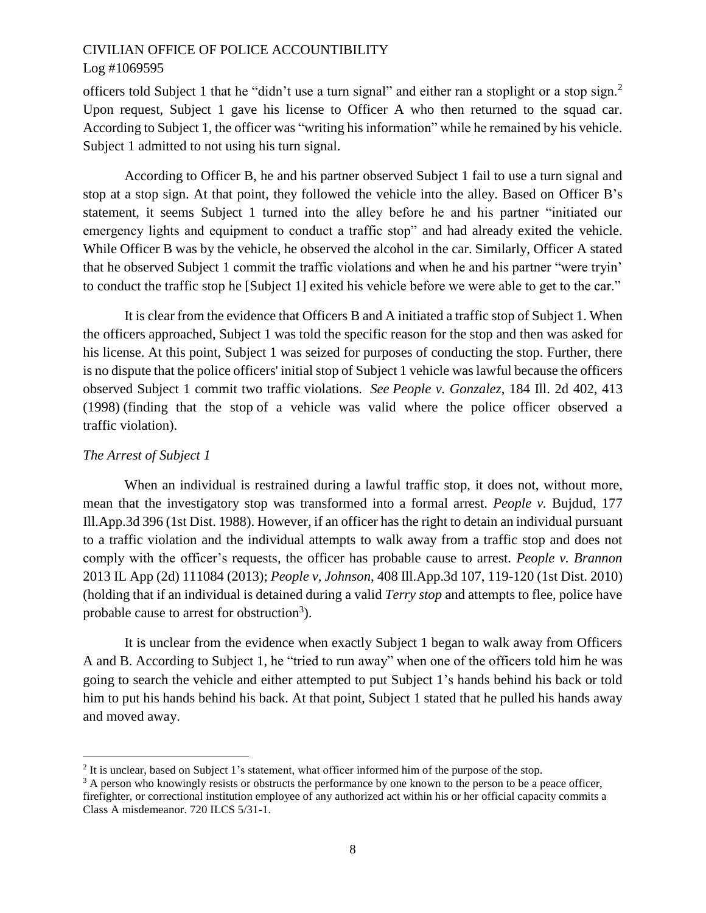officers told Subject 1 that he "didn't use a turn signal" and either ran a stoplight or a stop sign.<sup>2</sup> Upon request, Subject 1 gave his license to Officer A who then returned to the squad car. According to Subject 1, the officer was "writing his information" while he remained by his vehicle. Subject 1 admitted to not using his turn signal.

According to Officer B, he and his partner observed Subject 1 fail to use a turn signal and stop at a stop sign. At that point, they followed the vehicle into the alley. Based on Officer B's statement, it seems Subject 1 turned into the alley before he and his partner "initiated our emergency lights and equipment to conduct a traffic stop" and had already exited the vehicle. While Officer B was by the vehicle, he observed the alcohol in the car. Similarly, Officer A stated that he observed Subject 1 commit the traffic violations and when he and his partner "were tryin' to conduct the traffic stop he [Subject 1] exited his vehicle before we were able to get to the car."

It is clear from the evidence that Officers B and A initiated a traffic stop of Subject 1. When the officers approached, Subject 1 was told the specific reason for the stop and then was asked for his license. At this point, Subject 1 was seized for purposes of conducting the stop. Further, there is no dispute that the police officers' initial stop of Subject 1 vehicle was lawful because the officers observed Subject 1 commit two traffic violations. *See People v. Gonzalez*, 184 Ill. 2d 402, 413 (1998) (finding that the stop of a vehicle was valid where the police officer observed a traffic violation).

# *The Arrest of Subject 1*

l

When an individual is restrained during a lawful traffic stop, it does not, without more, mean that the investigatory stop was transformed into a formal arrest. *People v.* Bujdud, 177 Ill.App.3d 396 (1st Dist. 1988). However, if an officer has the right to detain an individual pursuant to a traffic violation and the individual attempts to walk away from a traffic stop and does not comply with the officer's requests, the officer has probable cause to arrest. *People v. Brannon*  2013 IL App (2d) 111084 (2013); *People v, Johnson*, 408 Ill.App.3d 107, 119-120 (1st Dist. 2010) (holding that if an individual is detained during a valid *Terry stop* and attempts to flee, police have probable cause to arrest for obstruction<sup>3</sup>).

It is unclear from the evidence when exactly Subject 1 began to walk away from Officers A and B. According to Subject 1, he "tried to run away" when one of the officers told him he was going to search the vehicle and either attempted to put Subject 1's hands behind his back or told him to put his hands behind his back. At that point, Subject 1 stated that he pulled his hands away and moved away.

 $2<sup>2</sup>$  It is unclear, based on Subject 1's statement, what officer informed him of the purpose of the stop.

<sup>&</sup>lt;sup>3</sup> A person who knowingly resists or obstructs the performance by one known to the person to be a peace officer, firefighter, or correctional institution employee of any authorized act within his or her official capacity commits a Class A misdemeanor. 720 ILCS 5/31-1.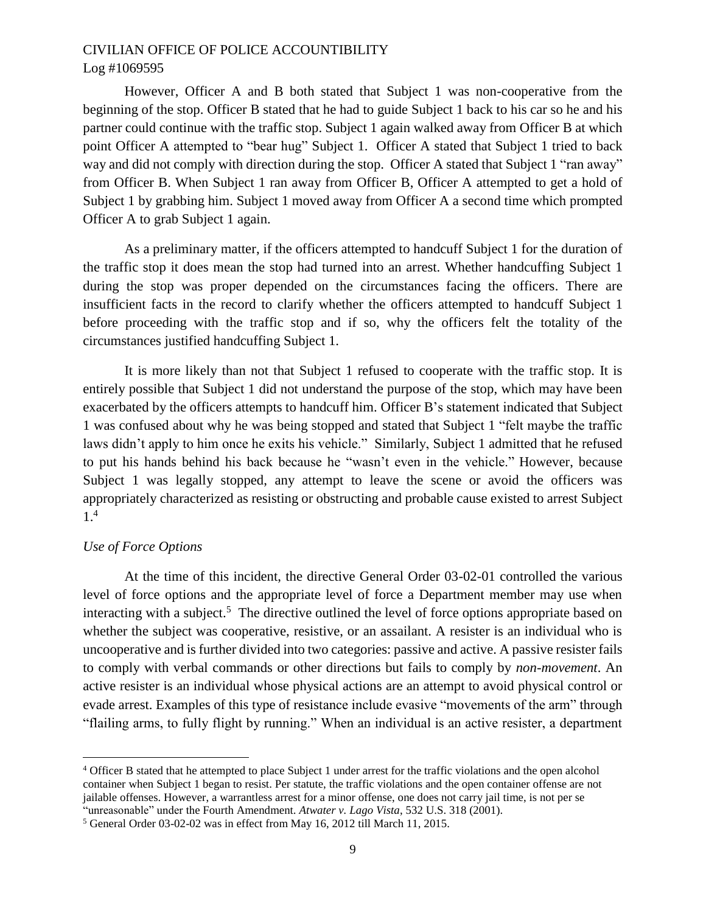However, Officer A and B both stated that Subject 1 was non-cooperative from the beginning of the stop. Officer B stated that he had to guide Subject 1 back to his car so he and his partner could continue with the traffic stop. Subject 1 again walked away from Officer B at which point Officer A attempted to "bear hug" Subject 1. Officer A stated that Subject 1 tried to back way and did not comply with direction during the stop. Officer A stated that Subject 1 "ran away" from Officer B. When Subject 1 ran away from Officer B, Officer A attempted to get a hold of Subject 1 by grabbing him. Subject 1 moved away from Officer A a second time which prompted Officer A to grab Subject 1 again.

As a preliminary matter, if the officers attempted to handcuff Subject 1 for the duration of the traffic stop it does mean the stop had turned into an arrest. Whether handcuffing Subject 1 during the stop was proper depended on the circumstances facing the officers. There are insufficient facts in the record to clarify whether the officers attempted to handcuff Subject 1 before proceeding with the traffic stop and if so, why the officers felt the totality of the circumstances justified handcuffing Subject 1.

It is more likely than not that Subject 1 refused to cooperate with the traffic stop. It is entirely possible that Subject 1 did not understand the purpose of the stop, which may have been exacerbated by the officers attempts to handcuff him. Officer B's statement indicated that Subject 1 was confused about why he was being stopped and stated that Subject 1 "felt maybe the traffic laws didn't apply to him once he exits his vehicle." Similarly, Subject 1 admitted that he refused to put his hands behind his back because he "wasn't even in the vehicle." However, because Subject 1 was legally stopped, any attempt to leave the scene or avoid the officers was appropriately characterized as resisting or obstructing and probable cause existed to arrest Subject 1. 4

#### *Use of Force Options*

l

At the time of this incident, the directive General Order 03-02-01 controlled the various level of force options and the appropriate level of force a Department member may use when interacting with a subject.<sup>5</sup> The directive outlined the level of force options appropriate based on whether the subject was cooperative, resistive, or an assailant. A resister is an individual who is uncooperative and is further divided into two categories: passive and active. A passive resister fails to comply with verbal commands or other directions but fails to comply by *non-movement*. An active resister is an individual whose physical actions are an attempt to avoid physical control or evade arrest. Examples of this type of resistance include evasive "movements of the arm" through "flailing arms, to fully flight by running." When an individual is an active resister, a department

<sup>4</sup> Officer B stated that he attempted to place Subject 1 under arrest for the traffic violations and the open alcohol container when Subject 1 began to resist. Per statute, the traffic violations and the open container offense are not jailable offenses. However, a warrantless arrest for a minor offense, one does not carry jail time, is not per se "unreasonable" under the Fourth Amendment. *Atwater v. Lago Vista*, 532 U.S. 318 (2001).

<sup>5</sup> General Order 03-02-02 was in effect from May 16, 2012 till March 11, 2015.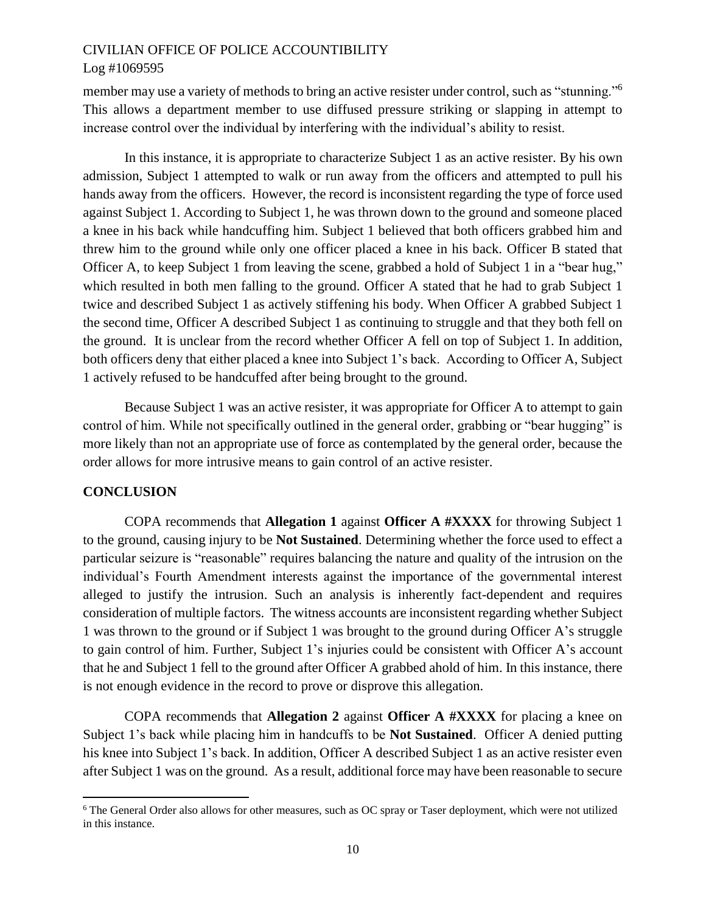member may use a variety of methods to bring an active resister under control, such as "stunning."<sup>6</sup> This allows a department member to use diffused pressure striking or slapping in attempt to increase control over the individual by interfering with the individual's ability to resist.

In this instance, it is appropriate to characterize Subject 1 as an active resister. By his own admission, Subject 1 attempted to walk or run away from the officers and attempted to pull his hands away from the officers. However, the record is inconsistent regarding the type of force used against Subject 1. According to Subject 1, he was thrown down to the ground and someone placed a knee in his back while handcuffing him. Subject 1 believed that both officers grabbed him and threw him to the ground while only one officer placed a knee in his back. Officer B stated that Officer A, to keep Subject 1 from leaving the scene, grabbed a hold of Subject 1 in a "bear hug," which resulted in both men falling to the ground. Officer A stated that he had to grab Subject 1 twice and described Subject 1 as actively stiffening his body. When Officer A grabbed Subject 1 the second time, Officer A described Subject 1 as continuing to struggle and that they both fell on the ground. It is unclear from the record whether Officer A fell on top of Subject 1. In addition, both officers deny that either placed a knee into Subject 1's back. According to Officer A, Subject 1 actively refused to be handcuffed after being brought to the ground.

Because Subject 1 was an active resister, it was appropriate for Officer A to attempt to gain control of him. While not specifically outlined in the general order, grabbing or "bear hugging" is more likely than not an appropriate use of force as contemplated by the general order, because the order allows for more intrusive means to gain control of an active resister.

#### **CONCLUSION**

 $\overline{a}$ 

COPA recommends that **Allegation 1** against **Officer A #XXXX** for throwing Subject 1 to the ground, causing injury to be **Not Sustained**. Determining whether the force used to effect a particular seizure is "reasonable" requires balancing the nature and quality of the intrusion on the individual's Fourth Amendment interests against the importance of the governmental interest alleged to justify the intrusion. Such an analysis is inherently fact-dependent and requires consideration of multiple factors. The witness accounts are inconsistent regarding whether Subject 1 was thrown to the ground or if Subject 1 was brought to the ground during Officer A's struggle to gain control of him. Further, Subject 1's injuries could be consistent with Officer A's account that he and Subject 1 fell to the ground after Officer A grabbed ahold of him. In this instance, there is not enough evidence in the record to prove or disprove this allegation.

COPA recommends that **Allegation 2** against **Officer A #XXXX** for placing a knee on Subject 1's back while placing him in handcuffs to be **Not Sustained**. Officer A denied putting his knee into Subject 1's back. In addition, Officer A described Subject 1 as an active resister even after Subject 1 was on the ground. As a result, additional force may have been reasonable to secure

<sup>&</sup>lt;sup>6</sup> The General Order also allows for other measures, such as OC spray or Taser deployment, which were not utilized in this instance.